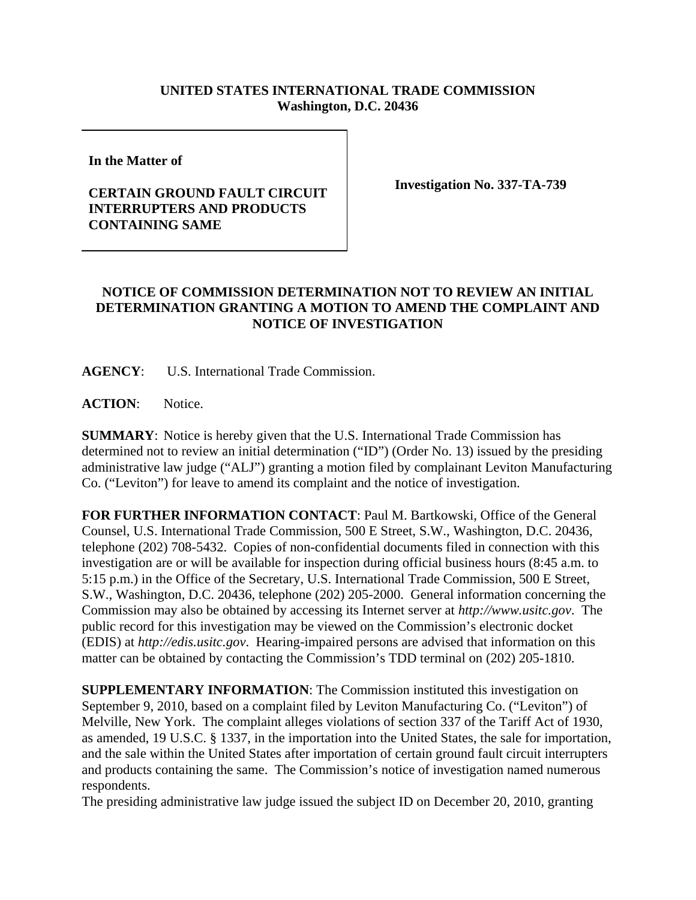## **UNITED STATES INTERNATIONAL TRADE COMMISSION Washington, D.C. 20436**

**In the Matter of** 

## **CERTAIN GROUND FAULT CIRCUIT INTERRUPTERS AND PRODUCTS CONTAINING SAME**

**Investigation No. 337-TA-739**

## **NOTICE OF COMMISSION DETERMINATION NOT TO REVIEW AN INITIAL DETERMINATION GRANTING A MOTION TO AMEND THE COMPLAINT AND NOTICE OF INVESTIGATION**

**AGENCY**: U.S. International Trade Commission.

**ACTION**: Notice.

**SUMMARY**: Notice is hereby given that the U.S. International Trade Commission has determined not to review an initial determination ("ID") (Order No. 13) issued by the presiding administrative law judge ("ALJ") granting a motion filed by complainant Leviton Manufacturing Co. ("Leviton") for leave to amend its complaint and the notice of investigation.

**FOR FURTHER INFORMATION CONTACT**: Paul M. Bartkowski, Office of the General Counsel, U.S. International Trade Commission, 500 E Street, S.W., Washington, D.C. 20436, telephone (202) 708-5432. Copies of non-confidential documents filed in connection with this investigation are or will be available for inspection during official business hours (8:45 a.m. to 5:15 p.m.) in the Office of the Secretary, U.S. International Trade Commission, 500 E Street, S.W., Washington, D.C. 20436, telephone (202) 205-2000. General information concerning the Commission may also be obtained by accessing its Internet server at *http://www.usitc.gov*. The public record for this investigation may be viewed on the Commission's electronic docket (EDIS) at *http://edis.usitc.gov*. Hearing-impaired persons are advised that information on this matter can be obtained by contacting the Commission's TDD terminal on (202) 205-1810.

**SUPPLEMENTARY INFORMATION**: The Commission instituted this investigation on September 9, 2010, based on a complaint filed by Leviton Manufacturing Co. ("Leviton") of Melville, New York. The complaint alleges violations of section 337 of the Tariff Act of 1930, as amended, 19 U.S.C. § 1337, in the importation into the United States, the sale for importation, and the sale within the United States after importation of certain ground fault circuit interrupters and products containing the same. The Commission's notice of investigation named numerous respondents.

The presiding administrative law judge issued the subject ID on December 20, 2010, granting